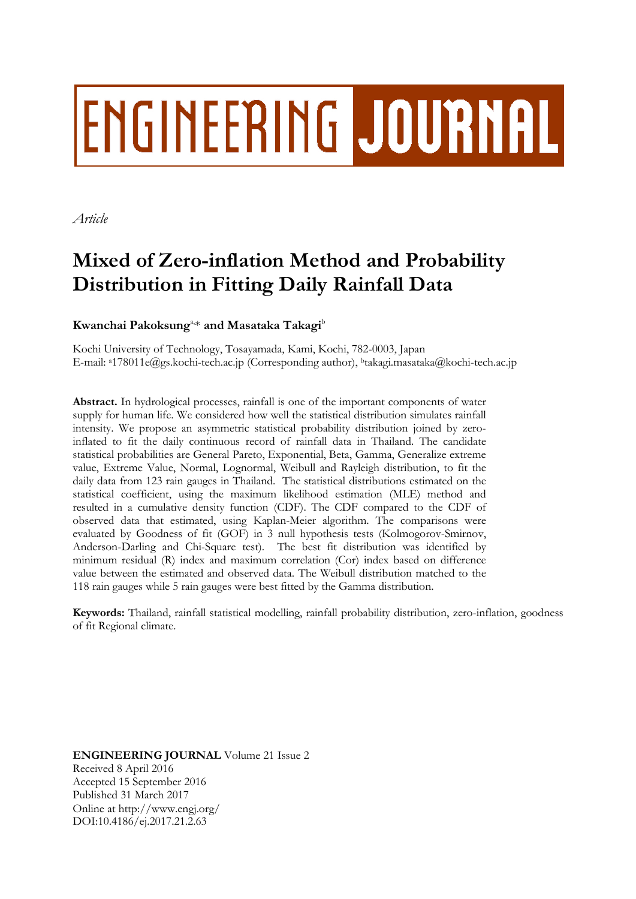# **ENGINEERING JOURNAL**

*Article*

# **Mixed of Zero-inflation Method and Probability Distribution in Fitting Daily Rainfall Data**

### $\mathbf K$ wanchai  $\mathbf P$ akoksung $^\text{\tiny a}\text{\tiny \#}$  and  $\mathbf M$ asataka  $\mathbf T$ akagi $^\text{\tiny b}$

Kochi University of Technology, Tosayamada, Kami, Kochi, 782-0003, Japan E-mail: <sup>a</sup>[178011e@gs.kochi-tech.ac.jp](mailto:a178011e@gs.kochi-tech.ac.jp) (Corresponding author), <sup>b</sup>takagi.masataka@kochi-tech.ac.jp

**Abstract.** In hydrological processes, rainfall is one of the important components of water supply for human life. We considered how well the statistical distribution simulates rainfall intensity. We propose an asymmetric statistical probability distribution joined by zeroinflated to fit the daily continuous record of rainfall data in Thailand. The candidate statistical probabilities are General Pareto, Exponential, Beta, Gamma, Generalize extreme value, Extreme Value, Normal, Lognormal, Weibull and Rayleigh distribution, to fit the daily data from 123 rain gauges in Thailand. The statistical distributions estimated on the statistical coefficient, using the maximum likelihood estimation (MLE) method and resulted in a cumulative density function (CDF). The CDF compared to the CDF of observed data that estimated, using Kaplan-Meier algorithm. The comparisons were evaluated by Goodness of fit (GOF) in 3 null hypothesis tests (Kolmogorov-Smirnov, Anderson-Darling and Chi-Square test). The best fit distribution was identified by minimum residual (R) index and maximum correlation (Cor) index based on difference value between the estimated and observed data. The Weibull distribution matched to the 118 rain gauges while 5 rain gauges were best fitted by the Gamma distribution.

**Keywords:** Thailand, rainfall statistical modelling, rainfall probability distribution, zero-inflation, goodness of fit Regional climate.

**ENGINEERING JOURNAL** Volume 21 Issue 2 Received 8 April 2016 Accepted 15 September 2016 Published 31 March 2017 Online at http://www.engj.org/ DOI:10.4186/ej.2017.21.2.63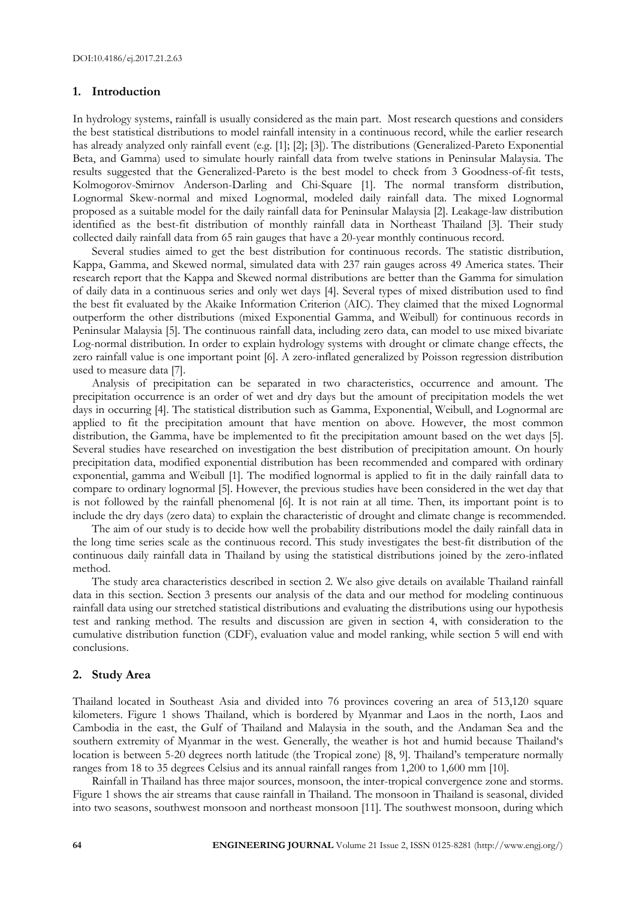#### **1. Introduction**

In hydrology systems, rainfall is usually considered as the main part. Most research questions and considers the best statistical distributions to model rainfall intensity in a continuous record, while the earlier research has already analyzed only rainfall event (e.g. [1]; [2]; [3]). The distributions (Generalized-Pareto Exponential Beta, and Gamma) used to simulate hourly rainfall data from twelve stations in Peninsular Malaysia. The results suggested that the Generalized-Pareto is the best model to check from 3 Goodness-of-fit tests, Kolmogorov-Smirnov Anderson-Darling and Chi-Square [1]. The normal transform distribution, Lognormal Skew-normal and mixed Lognormal, modeled daily rainfall data. The mixed Lognormal proposed as a suitable model for the daily rainfall data for Peninsular Malaysia [2]. Leakage-law distribution identified as the best-fit distribution of monthly rainfall data in Northeast Thailand [3]. Their study collected daily rainfall data from 65 rain gauges that have a 20-year monthly continuous record.

Several studies aimed to get the best distribution for continuous records. The statistic distribution, Kappa, Gamma, and Skewed normal, simulated data with 237 rain gauges across 49 America states. Their research report that the Kappa and Skewed normal distributions are better than the Gamma for simulation of daily data in a continuous series and only wet days [4]. Several types of mixed distribution used to find the best fit evaluated by the Akaike Information Criterion (AIC). They claimed that the mixed Lognormal outperform the other distributions (mixed Exponential Gamma, and Weibull) for continuous records in Peninsular Malaysia [5]. The continuous rainfall data, including zero data, can model to use mixed bivariate Log-normal distribution. In order to explain hydrology systems with drought or climate change effects, the zero rainfall value is one important point [6]. A zero-inflated generalized by Poisson regression distribution used to measure data [7].

Analysis of precipitation can be separated in two characteristics, occurrence and amount. The precipitation occurrence is an order of wet and dry days but the amount of precipitation models the wet days in occurring [4]. The statistical distribution such as Gamma, Exponential, Weibull, and Lognormal are applied to fit the precipitation amount that have mention on above. However, the most common distribution, the Gamma, have be implemented to fit the precipitation amount based on the wet days [5]. Several studies have researched on investigation the best distribution of precipitation amount. On hourly precipitation data, modified exponential distribution has been recommended and compared with ordinary exponential, gamma and Weibull [1]. The modified lognormal is applied to fit in the daily rainfall data to compare to ordinary lognormal [5]. However, the previous studies have been considered in the wet day that is not followed by the rainfall phenomenal [6]. It is not rain at all time. Then, its important point is to include the dry days (zero data) to explain the characteristic of drought and climate change is recommended.

The aim of our study is to decide how well the probability distributions model the daily rainfall data in the long time series scale as the continuous record. This study investigates the best-fit distribution of the continuous daily rainfall data in Thailand by using the statistical distributions joined by the zero-inflated method.

The study area characteristics described in section 2. We also give details on available Thailand rainfall data in this section. Section 3 presents our analysis of the data and our method for modeling continuous rainfall data using our stretched statistical distributions and evaluating the distributions using our hypothesis test and ranking method. The results and discussion are given in section 4, with consideration to the cumulative distribution function (CDF), evaluation value and model ranking, while section 5 will end with conclusions.

#### **2. Study Area**

Thailand located in Southeast Asia and divided into 76 provinces covering an area of 513,120 square kilometers. Figure 1 shows Thailand, which is bordered by Myanmar and Laos in the north, Laos and Cambodia in the east, the Gulf of Thailand and Malaysia in the south, and the Andaman Sea and the southern extremity of Myanmar in the west. Generally, the weather is hot and humid because Thailand's location is between 5-20 degrees north latitude (the Tropical zone) [8, 9]. Thailand's temperature normally ranges from 18 to 35 degrees Celsius and its annual rainfall ranges from 1,200 to 1,600 mm [10].

Rainfall in Thailand has three major sources, monsoon, the inter-tropical convergence zone and storms. Figure 1 shows the air streams that cause rainfall in Thailand. The monsoon in Thailand is seasonal, divided into two seasons, southwest monsoon and northeast monsoon [11]. The southwest monsoon, during which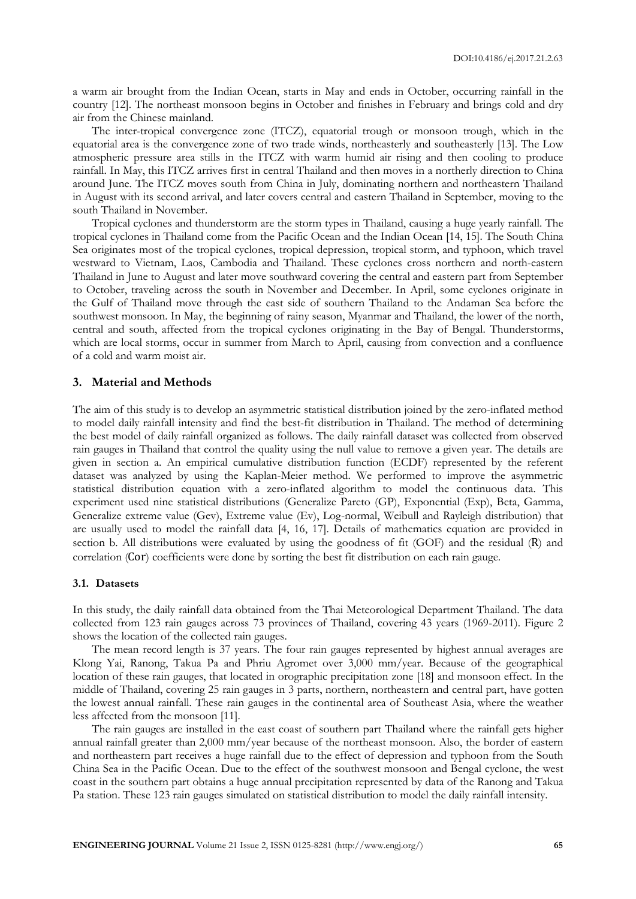a warm air brought from the Indian Ocean, starts in May and ends in October, occurring rainfall in the country [12]. The northeast monsoon begins in October and finishes in February and brings cold and dry air from the Chinese mainland.

The inter-tropical convergence zone (ITCZ), equatorial trough or monsoon trough, which in the equatorial area is the convergence zone of two trade winds, northeasterly and southeasterly [13]. The Low atmospheric pressure area stills in the ITCZ with warm humid air rising and then cooling to produce rainfall. In May, this ITCZ arrives first in central Thailand and then moves in a northerly direction to China around June. The ITCZ moves south from China in July, dominating northern and northeastern Thailand in August with its second arrival, and later covers central and eastern Thailand in September, moving to the south Thailand in November.

Tropical cyclones and thunderstorm are the storm types in Thailand, causing a huge yearly rainfall. The tropical cyclones in Thailand come from the Pacific Ocean and the Indian Ocean [14, 15]. The South China Sea originates most of the tropical cyclones, tropical depression, tropical storm, and typhoon, which travel westward to Vietnam, Laos, Cambodia and Thailand. These cyclones cross northern and north-eastern Thailand in June to August and later move southward covering the central and eastern part from September to October, traveling across the south in November and December. In April, some cyclones originate in the Gulf of Thailand move through the east side of southern Thailand to the Andaman Sea before the southwest monsoon. In May, the beginning of rainy season, Myanmar and Thailand, the lower of the north, central and south, affected from the tropical cyclones originating in the Bay of Bengal. Thunderstorms, which are local storms, occur in summer from March to April, causing from convection and a confluence of a cold and warm moist air.

#### **3. Material and Methods**

The aim of this study is to develop an asymmetric statistical distribution joined by the zero-inflated method to model daily rainfall intensity and find the best-fit distribution in Thailand. The method of determining the best model of daily rainfall organized as follows. The daily rainfall dataset was collected from observed rain gauges in Thailand that control the quality using the null value to remove a given year. The details are given in section a. An empirical cumulative distribution function (ECDF) represented by the referent dataset was analyzed by using the Kaplan-Meier method. We performed to improve the asymmetric statistical distribution equation with a zero-inflated algorithm to model the continuous data. This experiment used nine statistical distributions (Generalize Pareto (GP), Exponential (Exp), Beta, Gamma, Generalize extreme value (Gev), Extreme value (Ev), Log-normal, Weibull and Rayleigh distribution) that are usually used to model the rainfall data [4, 16, 17]. Details of mathematics equation are provided in section b. All distributions were evaluated by using the goodness of fit (GOF) and the residual (R) and correlation (Cor) coefficients were done by sorting the best fit distribution on each rain gauge.

#### **3.1. Datasets**

In this study, the daily rainfall data obtained from the Thai Meteorological Department Thailand. The data collected from 123 rain gauges across 73 provinces of Thailand, covering 43 years (1969-2011). Figure 2 shows the location of the collected rain gauges.

The mean record length is 37 years. The four rain gauges represented by highest annual averages are Klong Yai, Ranong, Takua Pa and Phriu Agromet over 3,000 mm/year. Because of the geographical location of these rain gauges, that located in orographic precipitation zone [18] and monsoon effect. In the middle of Thailand, covering 25 rain gauges in 3 parts, northern, northeastern and central part, have gotten the lowest annual rainfall. These rain gauges in the continental area of Southeast Asia, where the weather less affected from the monsoon [11].

The rain gauges are installed in the east coast of southern part Thailand where the rainfall gets higher annual rainfall greater than 2,000 mm/year because of the northeast monsoon. Also, the border of eastern and northeastern part receives a huge rainfall due to the effect of depression and typhoon from the South China Sea in the Pacific Ocean. Due to the effect of the southwest monsoon and Bengal cyclone, the west coast in the southern part obtains a huge annual precipitation represented by data of the Ranong and Takua Pa station. These 123 rain gauges simulated on statistical distribution to model the daily rainfall intensity.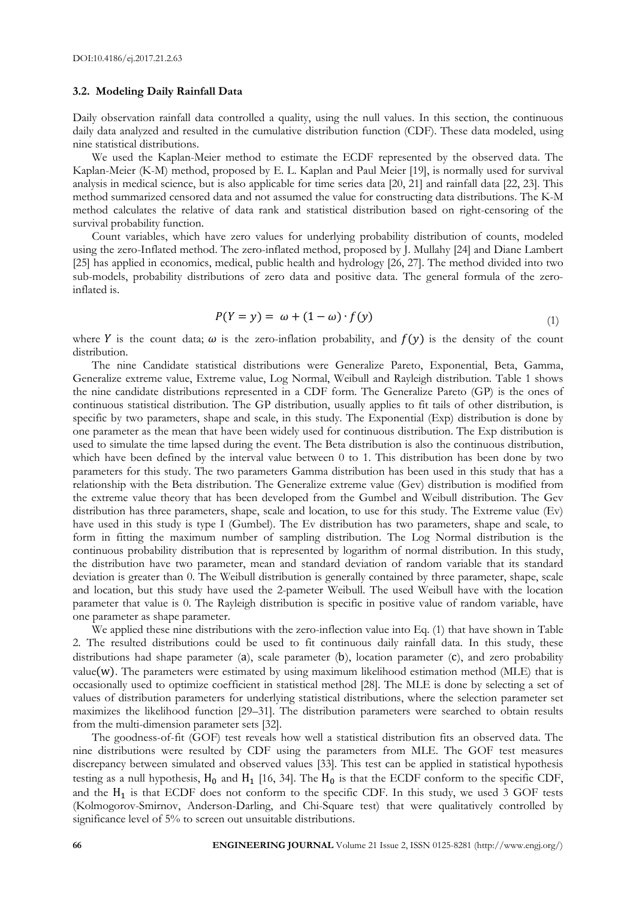#### **3.2. Modeling Daily Rainfall Data**

Daily observation rainfall data controlled a quality, using the null values. In this section, the continuous daily data analyzed and resulted in the cumulative distribution function (CDF). These data modeled, using nine statistical distributions.

We used the Kaplan-Meier method to estimate the ECDF represented by the observed data. The Kaplan-Meier (K-M) method, proposed by E. L. Kaplan and Paul Meier [19], is normally used for survival analysis in medical science, but is also applicable for time series data [20, 21] and rainfall data [22, 23]. This method summarized censored data and not assumed the value for constructing data distributions. The K-M method calculates the relative of data rank and statistical distribution based on right-censoring of the survival probability function.

Count variables, which have zero values for underlying probability distribution of counts, modeled using the zero-Inflated method. The zero-inflated method, proposed by J. Mullahy [24] and Diane Lambert [25] has applied in economics, medical, public health and hydrology [26, 27]. The method divided into two sub-models, probability distributions of zero data and positive data. The general formula of the zeroinflated is.

$$
P(Y = y) = \omega + (1 - \omega) \cdot f(y) \tag{1}
$$

where Y is the count data;  $\omega$  is the zero-inflation probability, and  $f(y)$  is the density of the count distribution.

The nine Candidate statistical distributions were Generalize Pareto, Exponential, Beta, Gamma, Generalize extreme value, Extreme value, Log Normal, Weibull and Rayleigh distribution. Table 1 shows the nine candidate distributions represented in a CDF form. The Generalize Pareto (GP) is the ones of continuous statistical distribution. The GP distribution, usually applies to fit tails of other distribution, is specific by two parameters, shape and scale, in this study. The Exponential (Exp) distribution is done by one parameter as the mean that have been widely used for continuous distribution. The Exp distribution is used to simulate the time lapsed during the event. The Beta distribution is also the continuous distribution, which have been defined by the interval value between 0 to 1. This distribution has been done by two parameters for this study. The two parameters Gamma distribution has been used in this study that has a relationship with the Beta distribution. The Generalize extreme value (Gev) distribution is modified from the extreme value theory that has been developed from the Gumbel and Weibull distribution. The Gev distribution has three parameters, shape, scale and location, to use for this study. The Extreme value (Ev) have used in this study is type I (Gumbel). The Ev distribution has two parameters, shape and scale, to form in fitting the maximum number of sampling distribution. The Log Normal distribution is the continuous probability distribution that is represented by logarithm of normal distribution. In this study, the distribution have two parameter, mean and standard deviation of random variable that its standard deviation is greater than 0. The Weibull distribution is generally contained by three parameter, shape, scale and location, but this study have used the 2-pameter Weibull. The used Weibull have with the location parameter that value is 0. The Rayleigh distribution is specific in positive value of random variable, have one parameter as shape parameter.

We applied these nine distributions with the zero-inflection value into Eq. (1) that have shown in Table 2. The resulted distributions could be used to fit continuous daily rainfall data. In this study, these distributions had shape parameter  $(a)$ , scale parameter  $(b)$ , location parameter  $(c)$ , and zero probability value( $w$ ). The parameters were estimated by using maximum likelihood estimation method ( $MLE$ ) that is occasionally used to optimize coefficient in statistical method [28]. The MLE is done by selecting a set of values of distribution parameters for underlying statistical distributions, where the selection parameter set maximizes the likelihood function [29–31]. The distribution parameters were searched to obtain results from the multi-dimension parameter sets [32].

The goodness-of-fit (GOF) test reveals how well a statistical distribution fits an observed data. The nine distributions were resulted by CDF using the parameters from MLE. The GOF test measures discrepancy between simulated and observed values [33]. This test can be applied in statistical hypothesis testing as a null hypothesis,  $H_0$  and  $H_1$  [16, 34]. The  $H_0$  is that the ECDF conform to the specific CDF, and the  $H_1$  is that ECDF does not conform to the specific CDF. In this study, we used 3 GOF tests (Kolmogorov-Smirnov, Anderson-Darling, and Chi-Square test) that were qualitatively controlled by significance level of 5% to screen out unsuitable distributions.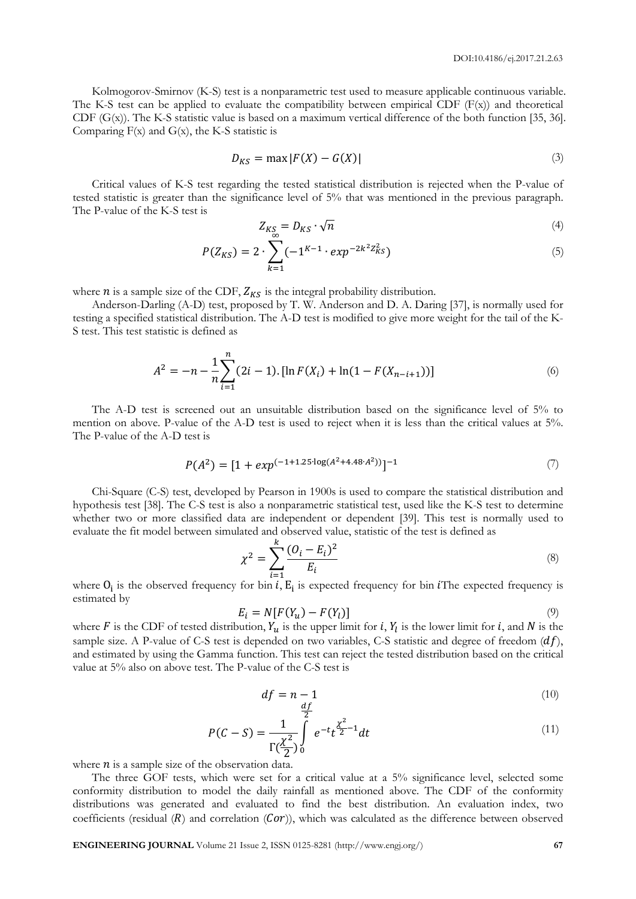Kolmogorov-Smirnov (K-S) test is a nonparametric test used to measure applicable continuous variable. The K-S test can be applied to evaluate the compatibility between empirical CDF  $(F(x))$  and theoretical CDF  $(G(x))$ . The K-S statistic value is based on a maximum vertical difference of the both function [35, 36]. Comparing  $F(x)$  and  $G(x)$ , the K-S statistic is

$$
D_{KS} = \max |F(X) - G(X)| \tag{3}
$$

Critical values of K-S test regarding the tested statistical distribution is rejected when the P-value of tested statistic is greater than the significance level of 5% that was mentioned in the previous paragraph. The P-value of the K-S test is

$$
Z_{K_{\infty}^S} = D_{K\mathcal{S}} \cdot \sqrt{n} \tag{4}
$$

$$
P(Z_{KS}) = 2 \cdot \sum_{k=1} (-1^{K-1} \cdot exp^{-2k^2 Z_{KS}^2})
$$
\n(5)

where  $n$  is a sample size of the CDF,  $Z_{KS}$  is the integral probability distribution.

Anderson-Darling (A-D) test, proposed by T. W. Anderson and D. A. Daring [37], is normally used for testing a specified statistical distribution. The A-D test is modified to give more weight for the tail of the K-S test. This test statistic is defined as

$$
A^{2} = -n - \frac{1}{n} \sum_{i=1}^{n} (2i - 1) \cdot [\ln F(X_{i}) + \ln(1 - F(X_{n-i+1}))]
$$
\n(6)

The A-D test is screened out an unsuitable distribution based on the significance level of 5% to mention on above. P-value of the A-D test is used to reject when it is less than the critical values at 5%. The P-value of the A-D test is

$$
P(A2) = [1 + exp(-1+1.25 \cdot \log(A2 + 4.48 \cdot A2))]-1
$$
 (7)

Chi-Square (C-S) test, developed by Pearson in 1900s is used to compare the statistical distribution and hypothesis test [38]. The C-S test is also a nonparametric statistical test, used like the K-S test to determine whether two or more classified data are independent or dependent [39]. This test is normally used to evaluate the fit model between simulated and observed value, statistic of the test is defined as

$$
\chi^2 = \sum_{i=1}^k \frac{(O_i - E_i)^2}{E_i} \tag{8}
$$

where  $O_i$  is the observed frequency for bin *i*,  $E_i$  is expected frequency for bin *i*The expected frequency is estimated by

$$
E_i = N[F(Y_u) - F(Y_l)] \tag{9}
$$

where F is the CDF of tested distribution,  $Y_u$  is the upper limit for *i*,  $Y_l$  is the lower limit for *i*, and N is the sample size. A P-value of C-S test is depended on two variables, C-S statistic and degree of freedom  $(df)$ , and estimated by using the Gamma function. This test can reject the tested distribution based on the critical value at 5% also on above test. The P-value of the C-S test is

$$
df = n - 1 \tag{10}
$$

$$
P(C-S) = \frac{1}{\Gamma(\frac{\chi^2}{2})} \int_{0}^{\frac{\chi^2}{2}} e^{-t} t^{\frac{\chi^2}{2}-1} dt
$$
 (11)

where  $n$  is a sample size of the observation data.

The three GOF tests, which were set for a critical value at a 5% significance level, selected some conformity distribution to model the daily rainfall as mentioned above. The CDF of the conformity distributions was generated and evaluated to find the best distribution. An evaluation index, two coefficients (residual  $(R)$  and correlation  $(Cor)$ ), which was calculated as the difference between observed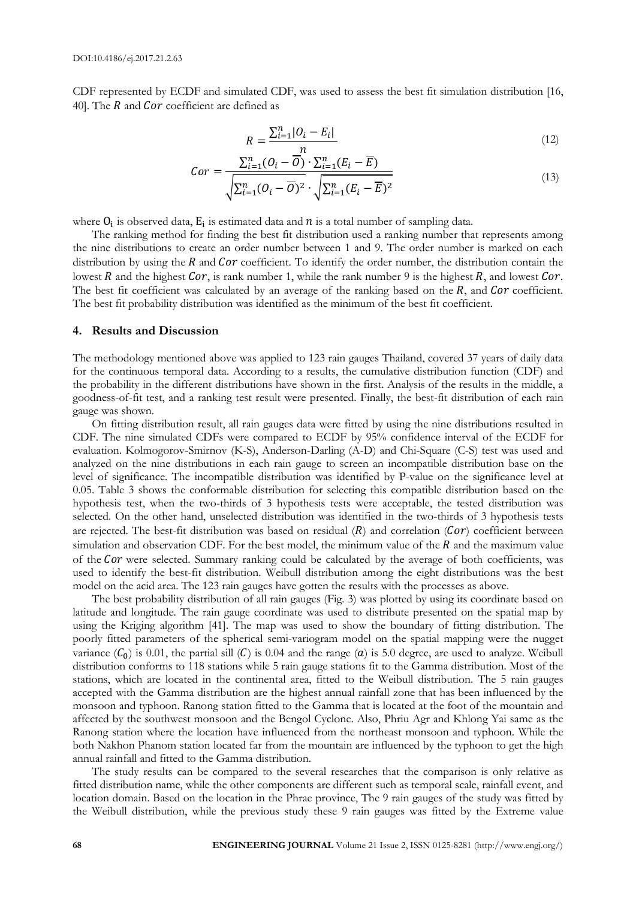CDF represented by ECDF and simulated CDF, was used to assess the best fit simulation distribution [16, 40]. The  $R$  and  $Cor$  coefficient are defined as

$$
R = \frac{\sum_{i=1}^{n} |O_i - E_i|}{n} \tag{12}
$$

$$
Cor = \frac{\sum_{i=1}^{n} (O_i - \overline{O}) \cdot \sum_{i=1}^{n} (E_i - \overline{E})}{\sqrt{\sum_{i=1}^{n} (O_i - \overline{O})^2} \cdot \sqrt{\sum_{i=1}^{n} (E_i - \overline{E})^2}}
$$
(13)

where  $O_i$  is observed data,  $E_i$  is estimated data and  $n$  is a total number of sampling data.

The ranking method for finding the best fit distribution used a ranking number that represents among the nine distributions to create an order number between 1 and 9. The order number is marked on each distribution by using the  $R$  and  $Cor$  coefficient. To identify the order number, the distribution contain the lowest R and the highest Cor, is rank number 1, while the rank number 9 is the highest R, and lowest Cor. The best fit coefficient was calculated by an average of the ranking based on the  $R$ , and Cor coefficient. The best fit probability distribution was identified as the minimum of the best fit coefficient.

#### **4. Results and Discussion**

The methodology mentioned above was applied to 123 rain gauges Thailand, covered 37 years of daily data for the continuous temporal data. According to a results, the cumulative distribution function (CDF) and the probability in the different distributions have shown in the first. Analysis of the results in the middle, a goodness-of-fit test, and a ranking test result were presented. Finally, the best-fit distribution of each rain gauge was shown.

On fitting distribution result, all rain gauges data were fitted by using the nine distributions resulted in CDF. The nine simulated CDFs were compared to ECDF by 95% confidence interval of the ECDF for evaluation. Kolmogorov-Smirnov (K-S), Anderson-Darling (A-D) and Chi-Square (C-S) test was used and analyzed on the nine distributions in each rain gauge to screen an incompatible distribution base on the level of significance. The incompatible distribution was identified by P-value on the significance level at 0.05. Table 3 shows the conformable distribution for selecting this compatible distribution based on the hypothesis test, when the two-thirds of 3 hypothesis tests were acceptable, the tested distribution was selected. On the other hand, unselected distribution was identified in the two-thirds of 3 hypothesis tests are rejected. The best-fit distribution was based on residual  $(R)$  and correlation ( $Cor$ ) coefficient between simulation and observation CDF. For the best model, the minimum value of the  $R$  and the maximum value of the Cor were selected. Summary ranking could be calculated by the average of both coefficients, was used to identify the best-fit distribution. Weibull distribution among the eight distributions was the best model on the acid area. The 123 rain gauges have gotten the results with the processes as above.

The best probability distribution of all rain gauges (Fig. 3) was plotted by using its coordinate based on latitude and longitude. The rain gauge coordinate was used to distribute presented on the spatial map by using the Kriging algorithm [41]. The map was used to show the boundary of fitting distribution. The poorly fitted parameters of the spherical semi-variogram model on the spatial mapping were the nugget variance  $(C_0)$  is 0.01, the partial sill  $(C)$  is 0.04 and the range  $(a)$  is 5.0 degree, are used to analyze. Weibull distribution conforms to 118 stations while 5 rain gauge stations fit to the Gamma distribution. Most of the stations, which are located in the continental area, fitted to the Weibull distribution. The 5 rain gauges accepted with the Gamma distribution are the highest annual rainfall zone that has been influenced by the monsoon and typhoon. Ranong station fitted to the Gamma that is located at the foot of the mountain and affected by the southwest monsoon and the Bengol Cyclone. Also, Phriu Agr and Khlong Yai same as the Ranong station where the location have influenced from the northeast monsoon and typhoon. While the both Nakhon Phanom station located far from the mountain are influenced by the typhoon to get the high annual rainfall and fitted to the Gamma distribution.

The study results can be compared to the several researches that the comparison is only relative as fitted distribution name, while the other components are different such as temporal scale, rainfall event, and location domain. Based on the location in the Phrae province, The 9 rain gauges of the study was fitted by the Weibull distribution, while the previous study these 9 rain gauges was fitted by the Extreme value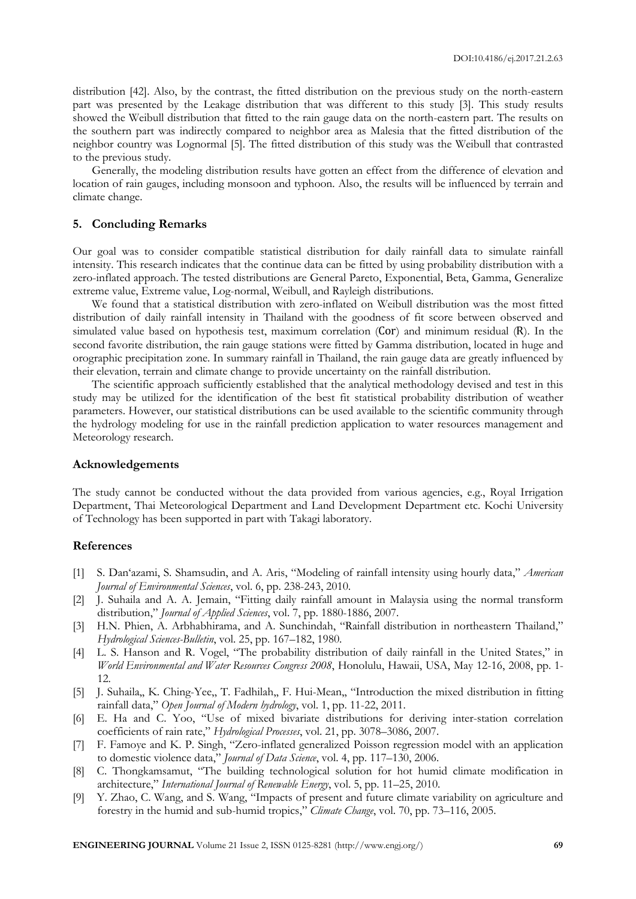distribution [42]. Also, by the contrast, the fitted distribution on the previous study on the north-eastern part was presented by the Leakage distribution that was different to this study [3]. This study results showed the Weibull distribution that fitted to the rain gauge data on the north-eastern part. The results on the southern part was indirectly compared to neighbor area as Malesia that the fitted distribution of the neighbor country was Lognormal [5]. The fitted distribution of this study was the Weibull that contrasted to the previous study.

Generally, the modeling distribution results have gotten an effect from the difference of elevation and location of rain gauges, including monsoon and typhoon. Also, the results will be influenced by terrain and climate change.

#### **5. Concluding Remarks**

Our goal was to consider compatible statistical distribution for daily rainfall data to simulate rainfall intensity. This research indicates that the continue data can be fitted by using probability distribution with a zero-inflated approach. The tested distributions are General Pareto, Exponential, Beta, Gamma, Generalize extreme value, Extreme value, Log-normal, Weibull, and Rayleigh distributions.

We found that a statistical distribution with zero-inflated on Weibull distribution was the most fitted distribution of daily rainfall intensity in Thailand with the goodness of fit score between observed and simulated value based on hypothesis test, maximum correlation (Cor) and minimum residual (R). In the second favorite distribution, the rain gauge stations were fitted by Gamma distribution, located in huge and orographic precipitation zone. In summary rainfall in Thailand, the rain gauge data are greatly influenced by their elevation, terrain and climate change to provide uncertainty on the rainfall distribution.

The scientific approach sufficiently established that the analytical methodology devised and test in this study may be utilized for the identification of the best fit statistical probability distribution of weather parameters. However, our statistical distributions can be used available to the scientific community through the hydrology modeling for use in the rainfall prediction application to water resources management and Meteorology research.

#### **Acknowledgements**

The study cannot be conducted without the data provided from various agencies, e.g., Royal Irrigation Department, Thai Meteorological Department and Land Development Department etc. Kochi University of Technology has been supported in part with Takagi laboratory.

#### **References**

- [1] S. Dan'azami, S. Shamsudin, and A. Aris, "Modeling of rainfall intensity using hourly data," *American Journal of Environmental Sciences*, vol. 6, pp. 238-243, 2010.
- [2] J. Suhaila and A. A. Jemain, "Fitting daily rainfall amount in Malaysia using the normal transform distribution," *Journal of Applied Sciences*, vol. 7, pp. 1880-1886, 2007.
- [3] H.N. Phien, A. Arbhabhirama, and A. Sunchindah, "Rainfall distribution in northeastern Thailand," *Hydrological Sciences-Bulletin*, vol. 25, pp. 167–182, 1980.
- [4] L. S. Hanson and R. Vogel, "The probability distribution of daily rainfall in the United States," in *World Environmental and Water Resources Congress 2008*, Honolulu, Hawaii, USA, May 12-16, 2008, pp. 1- 12.
- [5] J. Suhaila,, K. Ching-Yee,, T. Fadhilah,, F. Hui-Mean,, "Introduction the mixed distribution in fitting rainfall data," *Open Journal of Modern hydrology*, vol. 1, pp. 11-22, 2011.
- [6] E. Ha and C. Yoo, "Use of mixed bivariate distributions for deriving inter-station correlation coefficients of rain rate," *Hydrological Processes*, vol. 21, pp. 3078–3086, 2007.
- [7] F. Famoye and K. P. Singh, "Zero-inflated generalized Poisson regression model with an application to domestic violence data," *Journal of Data Science*, vol. 4, pp. 117–130, 2006.
- [8] C. Thongkamsamut, "The building technological solution for hot humid climate modification in architecture," *International Journal of Renewable Energy*, vol. 5, pp. 11–25, 2010.
- [9] Y. Zhao, C. Wang, and S. Wang, "Impacts of present and future climate variability on agriculture and forestry in the humid and sub-humid tropics," *Climate Change*, vol. 70, pp. 73–116, 2005.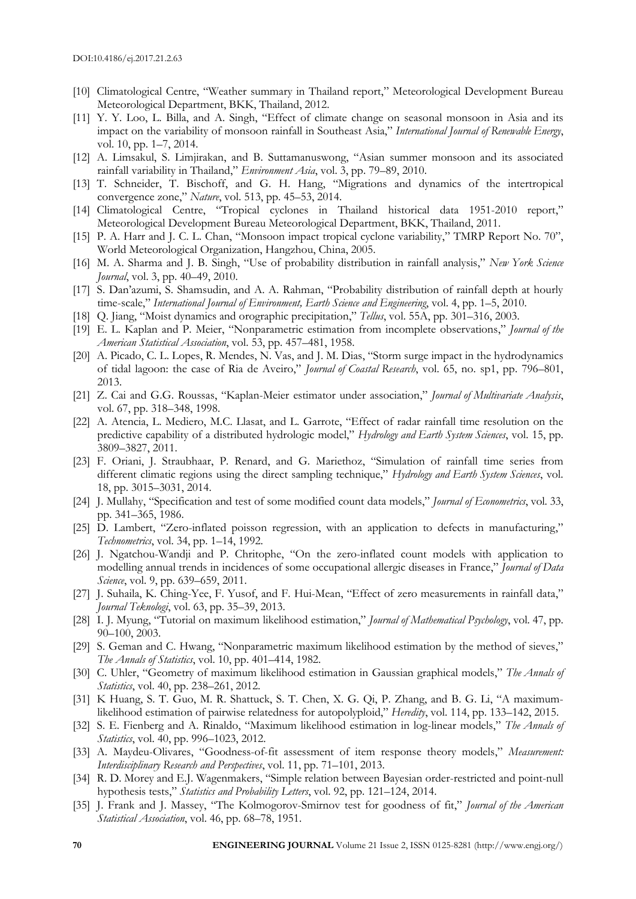- [10] Climatological Centre, "Weather summary in Thailand report," Meteorological Development Bureau Meteorological Department, BKK, Thailand, 2012.
- [11] Y. Y. Loo, L. Billa, and A. Singh, "Effect of climate change on seasonal monsoon in Asia and its impact on the variability of monsoon rainfall in Southeast Asia," *International Journal of Renewable Energy*, vol. 10, pp. 1–7, 2014.
- [12] A. Limsakul, S. Limjirakan, and B. Suttamanuswong, "Asian summer monsoon and its associated rainfall variability in Thailand," *Environment Asia*, vol. 3, pp. 79–89, 2010.
- [13] T. Schneider, T. Bischoff, and G. H. Hang, "Migrations and dynamics of the intertropical convergence zone," *Nature*, vol. 513, pp. 45–53, 2014.
- [14] Climatological Centre, "Tropical cyclones in Thailand historical data 1951-2010 report," Meteorological Development Bureau Meteorological Department, BKK, Thailand, 2011.
- [15] P. A. Harr and J. C. L. Chan, "Monsoon impact tropical cyclone variability," TMRP Report No. 70", World Meteorological Organization, Hangzhou, China, 2005.
- [16] M. A. Sharma and J. B. Singh, "Use of probability distribution in rainfall analysis," *New York Science Journal*, vol. 3, pp. 40–49, 2010.
- [17] S. Dan'azumi, S. Shamsudin, and A. A. Rahman, "Probability distribution of rainfall depth at hourly time-scale," *International Journal of Environment, Earth Science and Engineering*, vol. 4, pp. 1–5, 2010.
- [18] Q. Jiang, "Moist dynamics and orographic precipitation," *Tellus*, vol. 55A, pp. 301–316, 2003.
- [19] E. L. Kaplan and P. Meier, "Nonparametric estimation from incomplete observations," *Journal of the American Statistical Association*, vol. 53, pp. 457–481, 1958.
- [20] A. Picado, C. L. Lopes, R. Mendes, N. Vas, and J. M. Dias, "Storm surge impact in the hydrodynamics of tidal lagoon: the case of Ria de Aveiro," *Journal of Coastal Research*, vol. 65, no. sp1, pp. 796–801, 2013.
- [21] Z. Cai and G.G. Roussas, "Kaplan-Meier estimator under association," *Journal of Multivariate Analysis*, vol. 67, pp. 318–348, 1998.
- [22] A. Atencia, L. Mediero, M.C. Llasat, and L. Garrote, "Effect of radar rainfall time resolution on the predictive capability of a distributed hydrologic model," *Hydrology and Earth System Sciences*, vol. 15, pp. 3809–3827, 2011.
- [23] F. Oriani, J. Straubhaar, P. Renard, and G. Mariethoz, "Simulation of rainfall time series from different climatic regions using the direct sampling technique," *Hydrology and Earth System Sciences*, vol. 18, pp. 3015–3031, 2014.
- [24] J. Mullahy, "Specification and test of some modified count data models," *Journal of Econometrics*, vol. 33, pp. 341–365, 1986.
- [25] D. Lambert, "Zero-inflated poisson regression, with an application to defects in manufacturing," *Technometrics*, vol. 34, pp. 1–14, 1992.
- [26] J. Ngatchou-Wandji and P. Chritophe, "On the zero-inflated count models with application to modelling annual trends in incidences of some occupational allergic diseases in France," *Journal of Data Science*, vol. 9, pp. 639–659, 2011.
- [27] J. Suhaila, K. Ching-Yee, F. Yusof, and F. Hui-Mean, "Effect of zero measurements in rainfall data," *Journal Teknologi*, vol. 63, pp. 35–39, 2013.
- [28] I. J. Myung, "Tutorial on maximum likelihood estimation," *Journal of Mathematical Psychology*, vol. 47, pp. 90–100, 2003.
- [29] S. Geman and C. Hwang, "Nonparametric maximum likelihood estimation by the method of sieves," *The Annals of Statistics*, vol. 10, pp. 401–414, 1982.
- [30] C. Uhler, "Geometry of maximum likelihood estimation in Gaussian graphical models," *The Annals of Statistics*, vol. 40, pp. 238–261, 2012.
- [31] K Huang, S. T. Guo, M. R. Shattuck, S. T. Chen, X. G. Qi, P. Zhang, and B. G. Li, "A maximumlikelihood estimation of pairwise relatedness for autopolyploid," *Heredity*, vol. 114, pp. 133–142, 2015.
- [32] S. E. Fienberg and A. Rinaldo, "Maximum likelihood estimation in log-linear models," *The Annals of Statistics*, vol. 40, pp. 996–1023, 2012.
- [33] A. Maydeu-Olivares, "Goodness-of-fit assessment of item response theory models," *Measurement: Interdisciplinary Research and Perspectives*, vol. 11, pp. 71–101, 2013.
- [34] R. D. Morey and E.J. Wagenmakers, "Simple relation between Bayesian order-restricted and point-null hypothesis tests," *Statistics and Probability Letters*, vol. 92, pp. 121–124, 2014.
- [35] J. Frank and J. Massey, "The Kolmogorov-Smirnov test for goodness of fit," *Journal of the American Statistical Association*, vol. 46, pp. 68–78, 1951.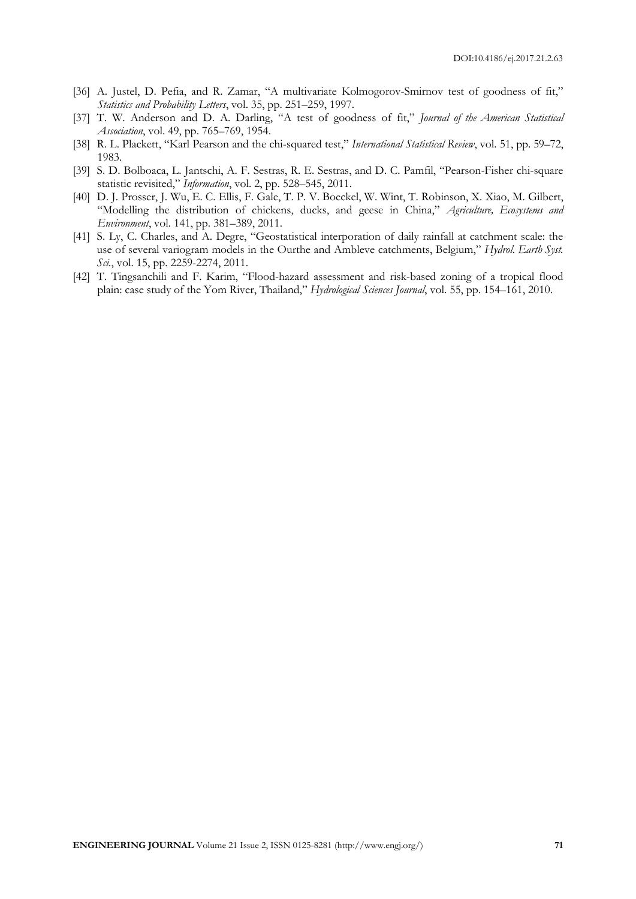- [36] A. Justel, D. Pefia, and R. Zamar, "A multivariate Kolmogorov-Smirnov test of goodness of fit," *Statistics and Probability Letters*, vol. 35, pp. 251–259, 1997.
- [37] T. W. Anderson and D. A. Darling, "A test of goodness of fit," *Journal of the American Statistical Association*, vol. 49, pp. 765–769, 1954.
- [38] R. L. Plackett, "Karl Pearson and the chi-squared test," *International Statistical Review*, vol. 51, pp. 59–72, 1983.
- [39] S. D. Bolboaca, L. Jantschi, A. F. Sestras, R. E. Sestras, and D. C. Pamfil, "Pearson-Fisher chi-square statistic revisited," *Information*, vol. 2, pp. 528–545, 2011.
- [40] D. J. Prosser, J. Wu, E. C. Ellis, F. Gale, T. P. V. Boeckel, W. Wint, T. Robinson, X. Xiao, M. Gilbert, "Modelling the distribution of chickens, ducks, and geese in China," *Agriculture, Ecosystems and Environment*, vol. 141, pp. 381–389, 2011.
- [41] S. Ly, C. Charles, and A. Degre, "Geostatistical interporation of daily rainfall at catchment scale: the use of several variogram models in the Ourthe and Ambleve catchments, Belgium," *Hydrol. Earth Syst. Sci.*, vol. 15, pp. 2259-2274, 2011.
- [42] T. Tingsanchili and F. Karim, "Flood-hazard assessment and risk-based zoning of a tropical flood plain: case study of the Yom River, Thailand," *Hydrological Sciences Journal*, vol. 55, pp. 154–161, 2010.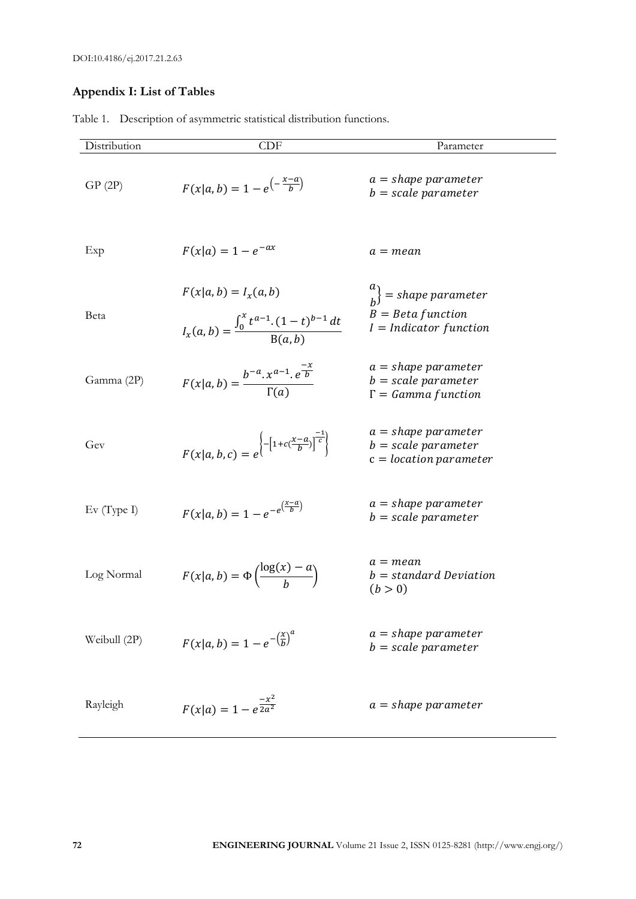## **Appendix I: List of Tables**

| Distribution | <b>CDF</b>                                                                               | Parameter                                                                           |
|--------------|------------------------------------------------------------------------------------------|-------------------------------------------------------------------------------------|
| GP(2P)       | $F(x a, b) = 1 - e^{-\frac{x-a}{b}}$                                                     | $a = shape parameter$<br>$b = scale parameter$                                      |
| Exp          | $F(x a) = 1 - e^{-ax}$                                                                   | $a = mean$                                                                          |
| Beta         | $F(x a, b) = I_{x}(a, b)$<br>$I_x(a,b) = \frac{\int_0^x t^{a-1} (1-t)^{b-1} dt}{B(a,b)}$ | $\binom{u}{b}$ = shape parameter<br>$B = Beta function$<br>$I = Indicator function$ |
| Gamma (2P)   | $F(x a, b) = \frac{b^{-a} \cdot x^{a-1} \cdot e^{\frac{-x}{b}}}{\Gamma(a)}$              | $a = shape parameter$<br>$b = scale parameter$<br>$\Gamma = Gamma function$         |
| Gev          | $F(x a, b, c) = e^{-\left[1 + c(\frac{x-a}{b})\right]^{\frac{-1}{c}}\}$                  | $a = shape parameter$<br>$b = scale parameter$<br>$c = location parameter$          |
| Ev(Type I)   | $F(x a, b) = 1 - e^{-e^{\left(\frac{x-a}{b}\right)}}$                                    | $a = shape parameter$<br>$b = scale parameter$                                      |
| Log Normal   | $F(x a, b) = \Phi\left(\frac{\log(x) - a}{b}\right)$                                     | $a = mean$<br>$b = standard Deviation$<br>(b > 0)                                   |
| Weibull (2P) | $F(x a, b) = 1 - e^{-\left(\frac{x}{b}\right)^a}$                                        | $a = shape parameter$<br>$b = scale parameter$                                      |
| Rayleigh     | $F(x a) = 1 - e^{\frac{-x^2}{2a^2}}$                                                     | $a = shape parameter$                                                               |

Table 1. Description of asymmetric statistical distribution functions.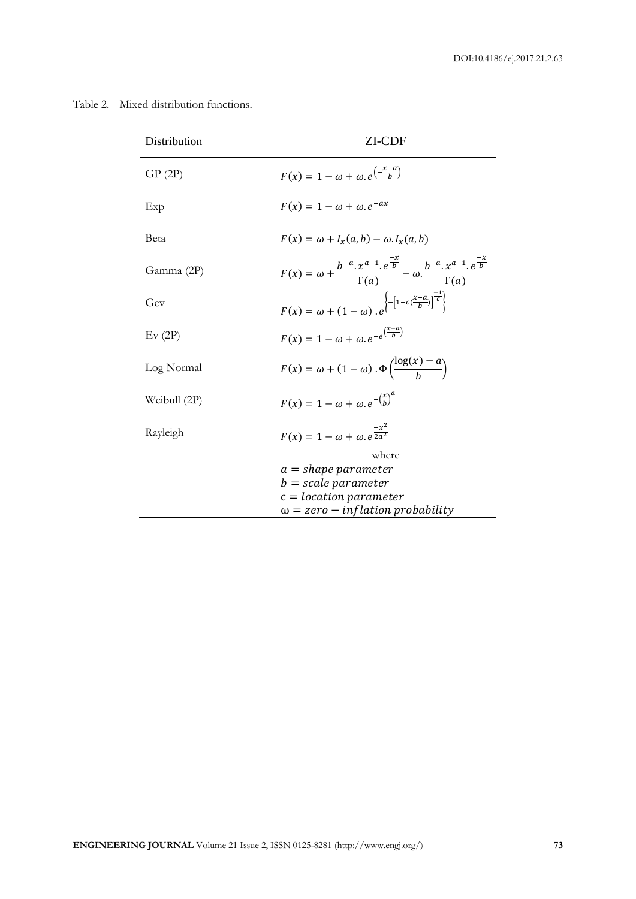Table 2. Mixed distribution functions.

| ZI-CDF                                                                                                                                   |
|------------------------------------------------------------------------------------------------------------------------------------------|
| $F(x) = 1 - \omega + \omega e^{\left(-\frac{x-a}{b}\right)}$                                                                             |
| $F(x) = 1 - \omega + \omega e^{-ax}$                                                                                                     |
| $F(x) = \omega + I_r(a,b) - \omega \cdot I_r(a,b)$                                                                                       |
| $F(x) = \omega + \frac{b^{-a} \cdot x^{a-1} \cdot e^{-x}}{\Gamma(a)} - \omega \cdot \frac{b^{-a} \cdot x^{a-1} \cdot e^{-x}}{\Gamma(a)}$ |
| $F(x) = \omega + (1-\omega)\cdot e^{\left\{ -\left[1 + c(\frac{x-a}{b})\right]^{\frac{-1}{c}} \right\}}$                                 |
| $F(x) = 1 - \omega + \omega e^{-e^{\left(\frac{x-u}{b}\right)}}$                                                                         |
| $F(x) = \omega + (1 - \omega) \cdot \Phi\left(\frac{\log(x) - a}{\omega}\right)$                                                         |
| $F(x) = 1 - \omega + \omega e^{-\left(\frac{x}{b}\right)^{\alpha}}$                                                                      |
| $F(x) = 1 - \omega + \omega e^{\frac{-x^2}{2a^2}}$                                                                                       |
| where                                                                                                                                    |
| $a = shape parameter$                                                                                                                    |
| $b = scale parameter$                                                                                                                    |
| $c = location parameter$<br>$\omega$ = zero – inflation probability                                                                      |
|                                                                                                                                          |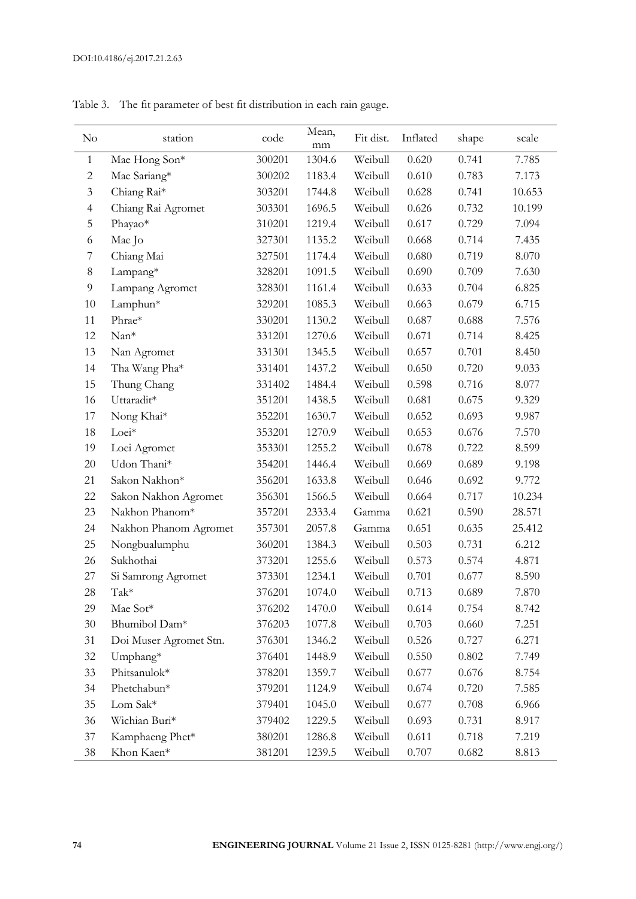| $\rm No$       | station                | code   | Mean,<br>mm | Fit dist. | Inflated | shape | scale  |
|----------------|------------------------|--------|-------------|-----------|----------|-------|--------|
| $\mathbf{1}$   | Mae Hong Son*          | 300201 | 1304.6      | Weibull   | 0.620    | 0.741 | 7.785  |
| $\mathbf{2}$   | Mae Sariang*           | 300202 | 1183.4      | Weibull   | 0.610    | 0.783 | 7.173  |
| 3              | Chiang Rai*            | 303201 | 1744.8      | Weibull   | 0.628    | 0.741 | 10.653 |
| $\overline{4}$ | Chiang Rai Agromet     | 303301 | 1696.5      | Weibull   | 0.626    | 0.732 | 10.199 |
| 5              | Phayao*                | 310201 | 1219.4      | Weibull   | 0.617    | 0.729 | 7.094  |
| 6              | Mae Jo                 | 327301 | 1135.2      | Weibull   | 0.668    | 0.714 | 7.435  |
| 7              | Chiang Mai             | 327501 | 1174.4      | Weibull   | 0.680    | 0.719 | 8.070  |
| $\,8\,$        | Lampang*               | 328201 | 1091.5      | Weibull   | 0.690    | 0.709 | 7.630  |
| 9              | Lampang Agromet        | 328301 | 1161.4      | Weibull   | 0.633    | 0.704 | 6.825  |
| 10             | Lamphun*               | 329201 | 1085.3      | Weibull   | 0.663    | 0.679 | 6.715  |
| 11             | Phrae*                 | 330201 | 1130.2      | Weibull   | 0.687    | 0.688 | 7.576  |
| 12             | Nan*                   | 331201 | 1270.6      | Weibull   | 0.671    | 0.714 | 8.425  |
| 13             | Nan Agromet            | 331301 | 1345.5      | Weibull   | 0.657    | 0.701 | 8.450  |
| 14             | Tha Wang Pha*          | 331401 | 1437.2      | Weibull   | 0.650    | 0.720 | 9.033  |
| 15             | Thung Chang            | 331402 | 1484.4      | Weibull   | 0.598    | 0.716 | 8.077  |
| 16             | Uttaradit*             | 351201 | 1438.5      | Weibull   | 0.681    | 0.675 | 9.329  |
| 17             | Nong Khai*             | 352201 | 1630.7      | Weibull   | 0.652    | 0.693 | 9.987  |
| 18             | Loei*                  | 353201 | 1270.9      | Weibull   | 0.653    | 0.676 | 7.570  |
| 19             | Loei Agromet           | 353301 | 1255.2      | Weibull   | 0.678    | 0.722 | 8.599  |
| $20\,$         | Udon Thani*            | 354201 | 1446.4      | Weibull   | 0.669    | 0.689 | 9.198  |
| 21             | Sakon Nakhon*          | 356201 | 1633.8      | Weibull   | 0.646    | 0.692 | 9.772  |
| 22             | Sakon Nakhon Agromet   | 356301 | 1566.5      | Weibull   | 0.664    | 0.717 | 10.234 |
| 23             | Nakhon Phanom*         | 357201 | 2333.4      | Gamma     | 0.621    | 0.590 | 28.571 |
| 24             | Nakhon Phanom Agromet  | 357301 | 2057.8      | Gamma     | 0.651    | 0.635 | 25.412 |
| 25             | Nongbualumphu          | 360201 | 1384.3      | Weibull   | 0.503    | 0.731 | 6.212  |
| 26             | Sukhothai              | 373201 | 1255.6      | Weibull   | 0.573    | 0.574 | 4.871  |
| 27             | Si Samrong Agromet     | 373301 | 1234.1      | Weibull   | 0.701    | 0.677 | 8.590  |
| 28             | Tak*                   | 376201 | 1074.0      | Weibull   | 0.713    | 0.689 | 7.870  |
| 29             | Mae Sot*               | 376202 | 1470.0      | Weibull   | 0.614    | 0.754 | 8.742  |
| $30\,$         | Bhumibol Dam*          | 376203 | 1077.8      | Weibull   | 0.703    | 0.660 | 7.251  |
| 31             | Doi Muser Agromet Stn. | 376301 | 1346.2      | Weibull   | 0.526    | 0.727 | 6.271  |
| $32\,$         | Umphang*               | 376401 | 1448.9      | Weibull   | 0.550    | 0.802 | 7.749  |
| 33             | Phitsanulok*           | 378201 | 1359.7      | Weibull   | 0.677    | 0.676 | 8.754  |
| 34             | Phetchabun*            | 379201 | 1124.9      | Weibull   | 0.674    | 0.720 | 7.585  |
| 35             | Lom Sak*               | 379401 | 1045.0      | Weibull   | 0.677    | 0.708 | 6.966  |
| 36             | Wichian Buri*          | 379402 | 1229.5      | Weibull   | 0.693    | 0.731 | 8.917  |
| $37\,$         | Kamphaeng Phet*        | 380201 | 1286.8      | Weibull   | 0.611    | 0.718 | 7.219  |
| $38\,$         | Khon Kaen*             | 381201 | 1239.5      | Weibull   | 0.707    | 0.682 | 8.813  |

Table 3. The fit parameter of best fit distribution in each rain gauge.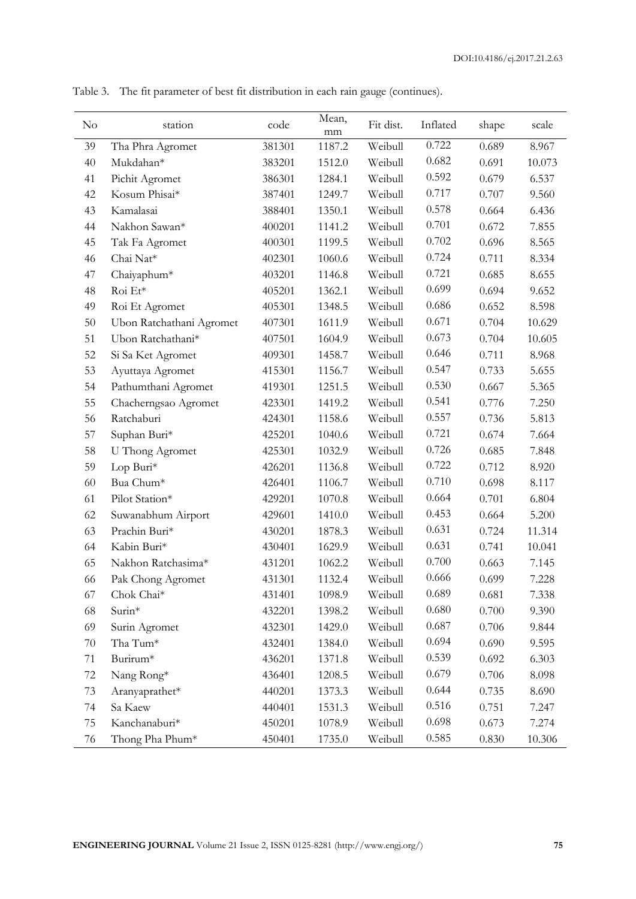| No     | station                  | code   | Mean,<br>mm | Fit dist. | Inflated | shape | scale  |
|--------|--------------------------|--------|-------------|-----------|----------|-------|--------|
| 39     | Tha Phra Agromet         | 381301 | 1187.2      | Weibull   | 0.722    | 0.689 | 8.967  |
| 40     | Mukdahan*                | 383201 | 1512.0      | Weibull   | 0.682    | 0.691 | 10.073 |
| 41     | Pichit Agromet           | 386301 | 1284.1      | Weibull   | 0.592    | 0.679 | 6.537  |
| 42     | Kosum Phisai*            | 387401 | 1249.7      | Weibull   | 0.717    | 0.707 | 9.560  |
| 43     | Kamalasai                | 388401 | 1350.1      | Weibull   | 0.578    | 0.664 | 6.436  |
| 44     | Nakhon Sawan*            | 400201 | 1141.2      | Weibull   | 0.701    | 0.672 | 7.855  |
| 45     | Tak Fa Agromet           | 400301 | 1199.5      | Weibull   | 0.702    | 0.696 | 8.565  |
| 46     | Chai Nat*                | 402301 | 1060.6      | Weibull   | 0.724    | 0.711 | 8.334  |
| 47     | Chaiyaphum*              | 403201 | 1146.8      | Weibull   | 0.721    | 0.685 | 8.655  |
| 48     | Roi Et*                  | 405201 | 1362.1      | Weibull   | 0.699    | 0.694 | 9.652  |
| 49     | Roi Et Agromet           | 405301 | 1348.5      | Weibull   | 0.686    | 0.652 | 8.598  |
| 50     | Ubon Ratchathani Agromet | 407301 | 1611.9      | Weibull   | 0.671    | 0.704 | 10.629 |
| 51     | Ubon Ratchathani*        | 407501 | 1604.9      | Weibull   | 0.673    | 0.704 | 10.605 |
| 52     | Si Sa Ket Agromet        | 409301 | 1458.7      | Weibull   | 0.646    | 0.711 | 8.968  |
| 53     | Ayuttaya Agromet         | 415301 | 1156.7      | Weibull   | 0.547    | 0.733 | 5.655  |
| 54     | Pathumthani Agromet      | 419301 | 1251.5      | Weibull   | 0.530    | 0.667 | 5.365  |
| 55     | Chacherngsao Agromet     | 423301 | 1419.2      | Weibull   | 0.541    | 0.776 | 7.250  |
| 56     | Ratchaburi               | 424301 | 1158.6      | Weibull   | 0.557    | 0.736 | 5.813  |
| 57     | Suphan Buri*             | 425201 | 1040.6      | Weibull   | 0.721    | 0.674 | 7.664  |
| 58     | U Thong Agromet          | 425301 | 1032.9      | Weibull   | 0.726    | 0.685 | 7.848  |
| 59     | Lop Buri*                | 426201 | 1136.8      | Weibull   | 0.722    | 0.712 | 8.920  |
| 60     | Bua Chum*                | 426401 | 1106.7      | Weibull   | 0.710    | 0.698 | 8.117  |
| 61     | Pilot Station*           | 429201 | 1070.8      | Weibull   | 0.664    | 0.701 | 6.804  |
| 62     | Suwanabhum Airport       | 429601 | 1410.0      | Weibull   | 0.453    | 0.664 | 5.200  |
| 63     | Prachin Buri*            | 430201 | 1878.3      | Weibull   | 0.631    | 0.724 | 11.314 |
| 64     | Kabin Buri*              | 430401 | 1629.9      | Weibull   | 0.631    | 0.741 | 10.041 |
| 65     | Nakhon Ratchasima*       | 431201 | 1062.2      | Weibull   | 0.700    | 0.663 | 7.145  |
| 66     | Pak Chong Agromet        | 431301 | 1132.4      | Weibull   | 0.666    | 0.699 | 7.228  |
| 67     | Chok Chai*               | 431401 | 1098.9      | Weibull   | 0.689    | 0.681 | 7.338  |
| 68     | Surin*                   | 432201 | 1398.2      | Weibull   | 0.680    | 0.700 | 9.390  |
| 69     | Surin Agromet            | 432301 | 1429.0      | Weibull   | 0.687    | 0.706 | 9.844  |
| $70\,$ | Tha Tum*                 | 432401 | 1384.0      | Weibull   | 0.694    | 0.690 | 9.595  |
| 71     | Burirum*                 | 436201 | 1371.8      | Weibull   | 0.539    | 0.692 | 6.303  |
| $72\,$ | Nang Rong*               | 436401 | 1208.5      | Weibull   | 0.679    | 0.706 | 8.098  |
| 73     | Aranyaprathet*           | 440201 | 1373.3      | Weibull   | 0.644    | 0.735 | 8.690  |
| 74     | Sa Kaew                  | 440401 | 1531.3      | Weibull   | 0.516    | 0.751 | 7.247  |
| 75     | Kanchanaburi*            | 450201 | 1078.9      | Weibull   | 0.698    | 0.673 | 7.274  |
| 76     | Thong Pha Phum*          | 450401 | 1735.0      | Weibull   | 0.585    | 0.830 | 10.306 |

Table 3. The fit parameter of best fit distribution in each rain gauge (continues).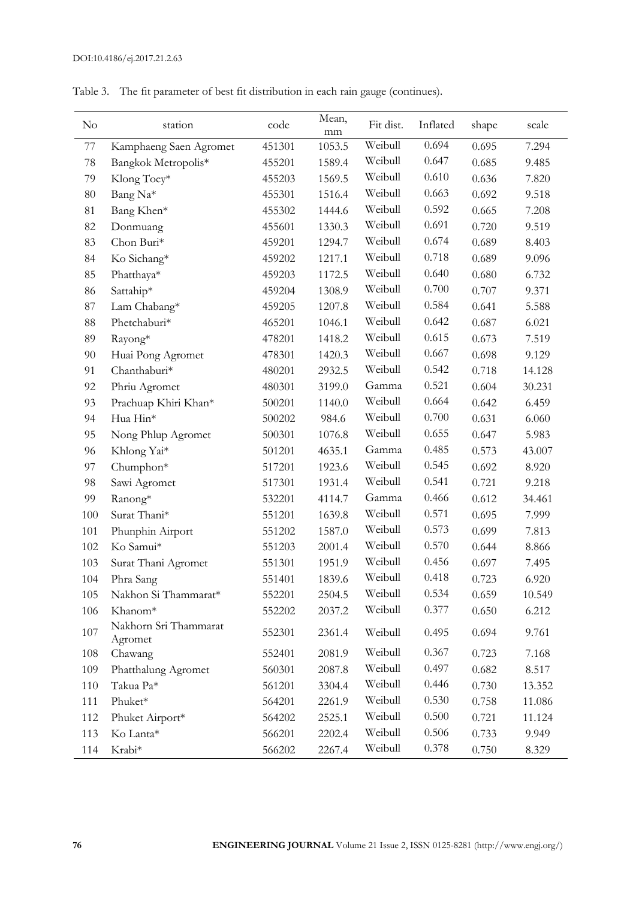| No     | station                          | code   | Mean,<br>mm | Fit dist. | Inflated | shape | scale  |
|--------|----------------------------------|--------|-------------|-----------|----------|-------|--------|
| 77     | Kamphaeng Saen Agromet           | 451301 | 1053.5      | Weibull   | 0.694    | 0.695 | 7.294  |
| 78     | Bangkok Metropolis*              | 455201 | 1589.4      | Weibull   | 0.647    | 0.685 | 9.485  |
| 79     | Klong Toey*                      | 455203 | 1569.5      | Weibull   | 0.610    | 0.636 | 7.820  |
| $80\,$ | Bang Na*                         | 455301 | 1516.4      | Weibull   | 0.663    | 0.692 | 9.518  |
| 81     | Bang Khen*                       | 455302 | 1444.6      | Weibull   | 0.592    | 0.665 | 7.208  |
| 82     | Donmuang                         | 455601 | 1330.3      | Weibull   | 0.691    | 0.720 | 9.519  |
| 83     | Chon Buri*                       | 459201 | 1294.7      | Weibull   | 0.674    | 0.689 | 8.403  |
| 84     | Ko Sichang*                      | 459202 | 1217.1      | Weibull   | 0.718    | 0.689 | 9.096  |
| 85     | Phatthaya*                       | 459203 | 1172.5      | Weibull   | 0.640    | 0.680 | 6.732  |
| 86     | Sattahip*                        | 459204 | 1308.9      | Weibull   | 0.700    | 0.707 | 9.371  |
| $87\,$ | Lam Chabang*                     | 459205 | 1207.8      | Weibull   | 0.584    | 0.641 | 5.588  |
| 88     | Phetchaburi*                     | 465201 | 1046.1      | Weibull   | 0.642    | 0.687 | 6.021  |
| 89     | Rayong*                          | 478201 | 1418.2      | Weibull   | 0.615    | 0.673 | 7.519  |
| 90     | Huai Pong Agromet                | 478301 | 1420.3      | Weibull   | 0.667    | 0.698 | 9.129  |
| 91     | Chanthaburi*                     | 480201 | 2932.5      | Weibull   | 0.542    | 0.718 | 14.128 |
| 92     | Phriu Agromet                    | 480301 | 3199.0      | Gamma     | 0.521    | 0.604 | 30.231 |
| 93     | Prachuap Khiri Khan*             | 500201 | 1140.0      | Weibull   | 0.664    | 0.642 | 6.459  |
| 94     | Hua Hin*                         | 500202 | 984.6       | Weibull   | 0.700    | 0.631 | 6.060  |
| 95     | Nong Phlup Agromet               | 500301 | 1076.8      | Weibull   | 0.655    | 0.647 | 5.983  |
| 96     | Khlong Yai*                      | 501201 | 4635.1      | Gamma     | 0.485    | 0.573 | 43.007 |
| 97     | Chumphon*                        | 517201 | 1923.6      | Weibull   | 0.545    | 0.692 | 8.920  |
| 98     | Sawi Agromet                     | 517301 | 1931.4      | Weibull   | 0.541    | 0.721 | 9.218  |
| 99     | Ranong*                          | 532201 | 4114.7      | Gamma     | 0.466    | 0.612 | 34.461 |
| 100    | Surat Thani*                     | 551201 | 1639.8      | Weibull   | 0.571    | 0.695 | 7.999  |
| 101    | Phunphin Airport                 | 551202 | 1587.0      | Weibull   | 0.573    | 0.699 | 7.813  |
| 102    | Ko Samui*                        | 551203 | 2001.4      | Weibull   | 0.570    | 0.644 | 8.866  |
| 103    | Surat Thani Agromet              | 551301 | 1951.9      | Weibull   | 0.456    | 0.697 | 7.495  |
| 104    | Phra Sang                        | 551401 | 1839.6      | Weibull   | 0.418    | 0.723 | 6.920  |
| 105    | Nakhon Si Thammarat*             | 552201 | 2504.5      | Weibull   | 0.534    | 0.659 | 10.549 |
| 106    | Khanom*                          | 552202 | 2037.2      | Weibull   | 0.377    | 0.650 | 6.212  |
| 107    | Nakhorn Sri Thammarat<br>Agromet | 552301 | 2361.4      | Weibull   | 0.495    | 0.694 | 9.761  |
| 108    | Chawang                          | 552401 | 2081.9      | Weibull   | 0.367    | 0.723 | 7.168  |
| 109    | Phatthalung Agromet              | 560301 | 2087.8      | Weibull   | 0.497    | 0.682 | 8.517  |
| 110    | Takua Pa*                        | 561201 | 3304.4      | Weibull   | 0.446    | 0.730 | 13.352 |
| 111    | Phuket*                          | 564201 | 2261.9      | Weibull   | 0.530    | 0.758 | 11.086 |
| 112    | Phuket Airport*                  | 564202 | 2525.1      | Weibull   | 0.500    | 0.721 | 11.124 |
| 113    | Ko Lanta*                        | 566201 | 2202.4      | Weibull   | 0.506    | 0.733 | 9.949  |
| 114    | Krabi*                           | 566202 | 2267.4      | Weibull   | 0.378    | 0.750 | 8.329  |

Table 3. The fit parameter of best fit distribution in each rain gauge (continues).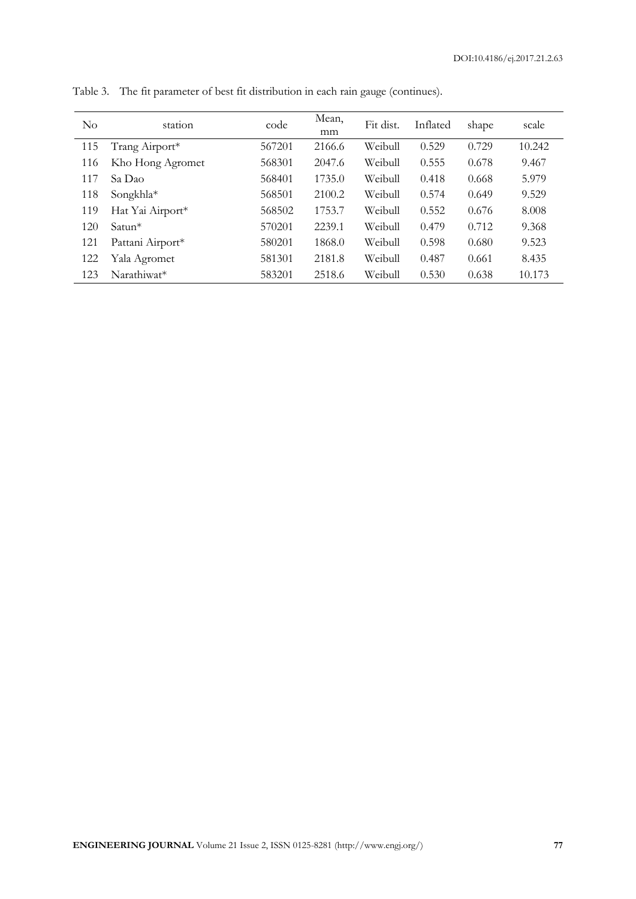| $\rm No$ | station          | code   | Mean,<br>mm | Fit dist. | Inflated | shape | scale  |
|----------|------------------|--------|-------------|-----------|----------|-------|--------|
| 115      | Trang Airport*   | 567201 | 2166.6      | Weibull   | 0.529    | 0.729 | 10.242 |
| 116      | Kho Hong Agromet | 568301 | 2047.6      | Weibull   | 0.555    | 0.678 | 9.467  |
| 117      | Sa Dao           | 568401 | 1735.0      | Weibull   | 0.418    | 0.668 | 5.979  |
| 118      | Songkhla*        | 568501 | 2100.2      | Weibull   | 0.574    | 0.649 | 9.529  |
| 119      | Hat Yai Airport* | 568502 | 1753.7      | Weibull   | 0.552    | 0.676 | 8.008  |
| 120      | $Satun*$         | 570201 | 2239.1      | Weibull   | 0.479    | 0.712 | 9.368  |
| 121      | Pattani Airport* | 580201 | 1868.0      | Weibull   | 0.598    | 0.680 | 9.523  |
| 122      | Yala Agromet     | 581301 | 2181.8      | Weibull   | 0.487    | 0.661 | 8.435  |
| 123      | Narathiwat*      | 583201 | 2518.6      | Weibull   | 0.530    | 0.638 | 10.173 |

Table 3. The fit parameter of best fit distribution in each rain gauge (continues).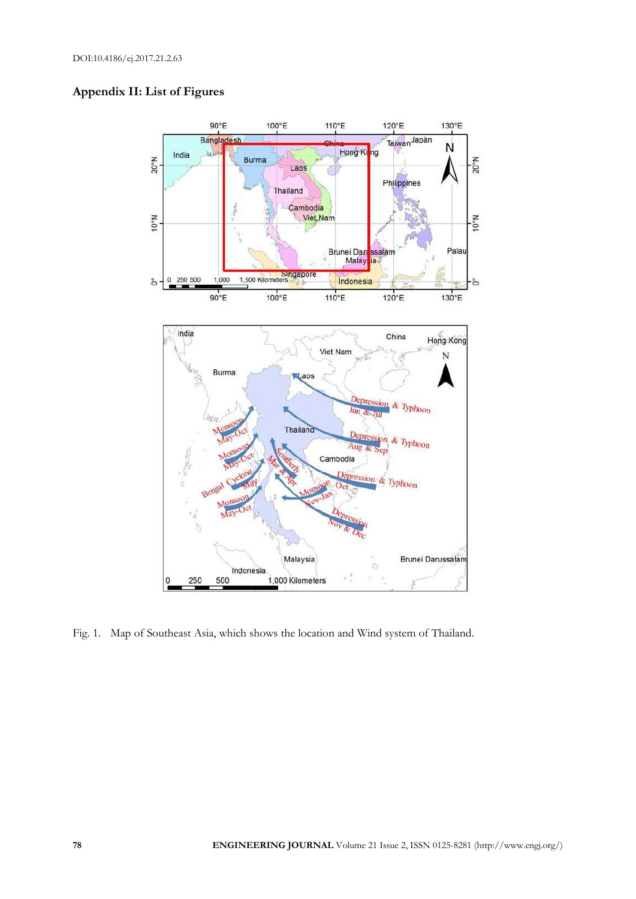



Fig. 1. Map of Southeast Asia, which shows the location and Wind system of Thailand.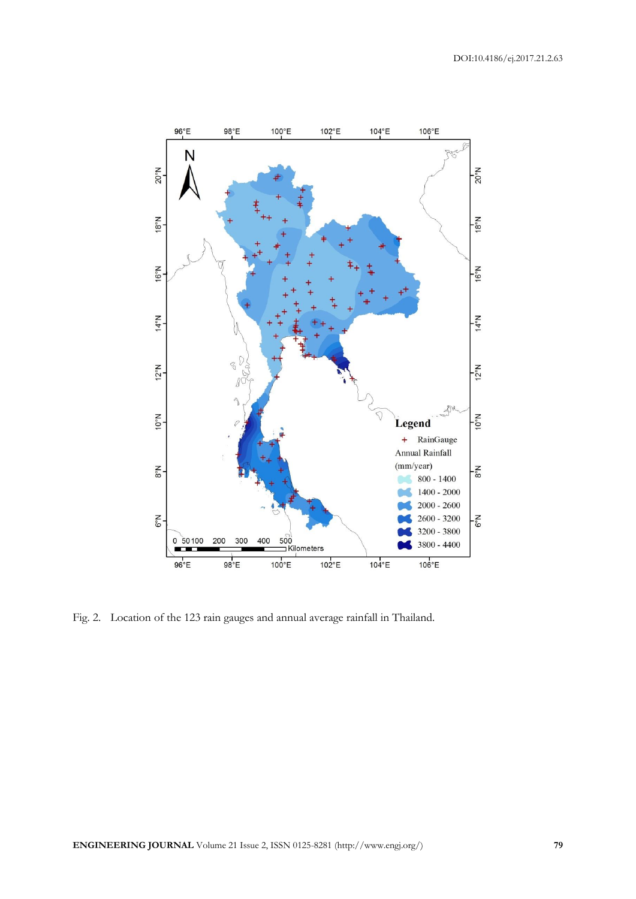

Fig. 2. Location of the 123 rain gauges and annual average rainfall in Thailand.